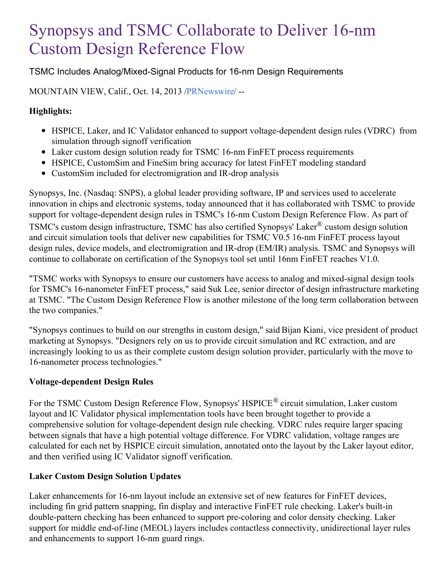# Synopsys and TSMC Collaborate to Deliver 16-nm Custom Design Reference Flow

# TSMC Includes Analog/Mixed-Signal Products for 16-nm Design Requirements

# MOUNTAIN VIEW, Calif., Oct. 14, 2013 [/PRNewswire](http://www.prnewswire.com/)/ --

## **Highlights:**

- HSPICE, Laker, and IC Validator enhanced to support voltage-dependent design rules (VDRC) from simulation through signoff verification
- Laker custom design solution ready for TSMC 16-nm FinFET process requirements
- HSPICE, CustomSim and FineSim bring accuracy for latest FinFET modeling standard
- CustomSim included for electromigration and IR-drop analysis

Synopsys, Inc. (Nasdaq: SNPS), a global leader providing software, IP and services used to accelerate innovation in chips and electronic systems, today announced that it has collaborated with TSMC to provide support for voltage-dependent design rules in TSMC's 16-nm Custom Design Reference Flow. As part of TSMC's custom design infrastructure, TSMC has also certified Synopsys' Laker® custom design solution and circuit simulation tools that deliver new capabilities for TSMC V0.5 16-nm FinFET process layout design rules, device models, and electromigration and IR-drop (EM/IR) analysis. TSMC and Synopsys will continue to collaborate on certification of the Synopsys tool set until 16nm FinFET reaches V1.0.

"TSMC works with Synopsys to ensure our customers have access to analog and mixed-signal design tools for TSMC's 16-nanometer FinFET process," said Suk Lee, senior director of design infrastructure marketing at TSMC. "The Custom Design Reference Flow is another milestone of the long term collaboration between the two companies."

"Synopsys continues to build on our strengths in custom design," said Bijan Kiani, vice president of product marketing at Synopsys. "Designers rely on us to provide circuit simulation and RC extraction, and are increasingly looking to us as their complete custom design solution provider, particularly with the move to 16-nanometer process technologies."

## **Voltage-dependent Design Rules**

For the TSMC Custom Design Reference Flow, Synopsys' HSPICE<sup>®</sup> circuit simulation, Laker custom layout and IC Validator physical implementation tools have been brought together to provide a comprehensive solution for voltage-dependent design rule checking. VDRC rules require larger spacing between signals that have a high potential voltage difference. For VDRC validation, voltage ranges are calculated for each net by HSPICE circuit simulation, annotated onto the layout by the Laker layout editor, and then verified using IC Validator signoff verification.

## **Laker Custom Design Solution Updates**

Laker enhancements for 16-nm layout include an extensive set of new features for FinFET devices, including fin grid pattern snapping, fin display and interactive FinFET rule checking. Laker's built-in double-pattern checking has been enhanced to support pre-coloring and color density checking. Laker support for middle end-of-line (MEOL) layers includes contactless connectivity, unidirectional layer rules and enhancements to support 16-nm guard rings.